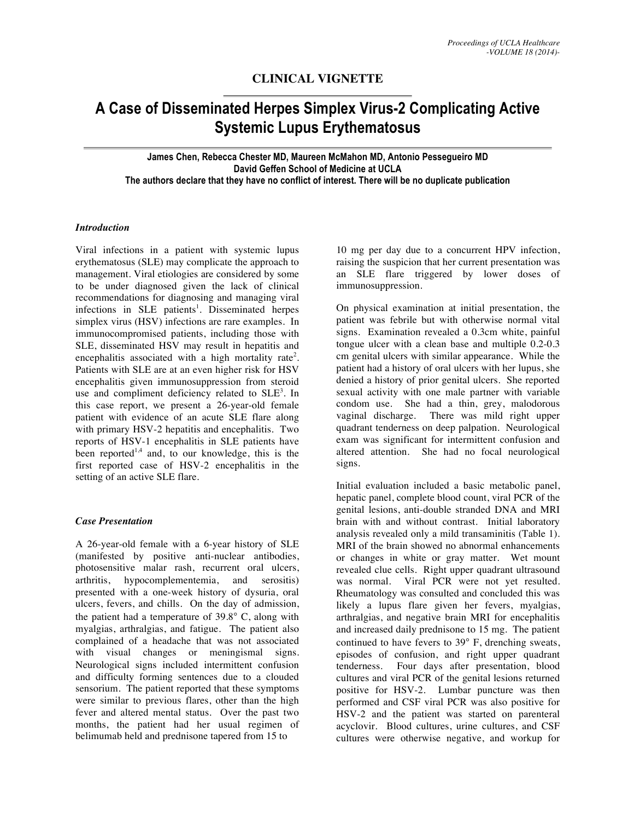# **CLINICAL VIGNETTE**

# **A Case of Disseminated Herpes Simplex Virus-2 Complicating Active Systemic Lupus Erythematosus**

**James Chen, Rebecca Chester MD, Maureen McMahon MD, Antonio Pessegueiro MD David Geffen School of Medicine at UCLA The authors declare that they have no conflict of interest. There will be no duplicate publication**

### *Introduction*

Viral infections in a patient with systemic lupus erythematosus (SLE) may complicate the approach to management. Viral etiologies are considered by some to be under diagnosed given the lack of clinical recommendations for diagnosing and managing viral infections in SLE patients<sup>1</sup>. Disseminated herpes simplex virus (HSV) infections are rare examples. In immunocompromised patients, including those with SLE, disseminated HSV may result in hepatitis and encephalitis associated with a high mortality rate<sup>2</sup>. Patients with SLE are at an even higher risk for HSV encephalitis given immunosuppression from steroid use and compliment deficiency related to  $SLE<sup>3</sup>$ . In this case report, we present a 26-year-old female patient with evidence of an acute SLE flare along with primary HSV-2 hepatitis and encephalitis. Two reports of HSV-1 encephalitis in SLE patients have been reported<sup>1,4</sup> and, to our knowledge, this is the first reported case of HSV-2 encephalitis in the setting of an active SLE flare.

#### *Case Presentation*

A 26-year-old female with a 6-year history of SLE (manifested by positive anti-nuclear antibodies, photosensitive malar rash, recurrent oral ulcers, arthritis, hypocomplementemia, and serositis) presented with a one-week history of dysuria, oral ulcers, fevers, and chills. On the day of admission, the patient had a temperature of 39.8° C, along with myalgias, arthralgias, and fatigue. The patient also complained of a headache that was not associated with visual changes or meningismal signs. Neurological signs included intermittent confusion and difficulty forming sentences due to a clouded sensorium. The patient reported that these symptoms were similar to previous flares, other than the high fever and altered mental status. Over the past two months, the patient had her usual regimen of belimumab held and prednisone tapered from 15 to

10 mg per day due to a concurrent HPV infection, raising the suspicion that her current presentation was an SLE flare triggered by lower doses of immunosuppression.

On physical examination at initial presentation, the patient was febrile but with otherwise normal vital signs. Examination revealed a 0.3cm white, painful tongue ulcer with a clean base and multiple 0.2-0.3 cm genital ulcers with similar appearance. While the patient had a history of oral ulcers with her lupus, she denied a history of prior genital ulcers. She reported sexual activity with one male partner with variable condom use. She had a thin, grey, malodorous vaginal discharge. There was mild right upper quadrant tenderness on deep palpation. Neurological exam was significant for intermittent confusion and altered attention. She had no focal neurological signs.

Initial evaluation included a basic metabolic panel, hepatic panel, complete blood count, viral PCR of the genital lesions, anti-double stranded DNA and MRI brain with and without contrast. Initial laboratory analysis revealed only a mild transaminitis (Table 1). MRI of the brain showed no abnormal enhancements or changes in white or gray matter. Wet mount revealed clue cells. Right upper quadrant ultrasound was normal. Viral PCR were not yet resulted. Rheumatology was consulted and concluded this was likely a lupus flare given her fevers, myalgias, arthralgias, and negative brain MRI for encephalitis and increased daily prednisone to 15 mg. The patient continued to have fevers to 39° F, drenching sweats, episodes of confusion, and right upper quadrant tenderness. Four days after presentation, blood cultures and viral PCR of the genital lesions returned positive for HSV-2. Lumbar puncture was then performed and CSF viral PCR was also positive for HSV-2 and the patient was started on parenteral acyclovir. Blood cultures, urine cultures, and CSF cultures were otherwise negative, and workup for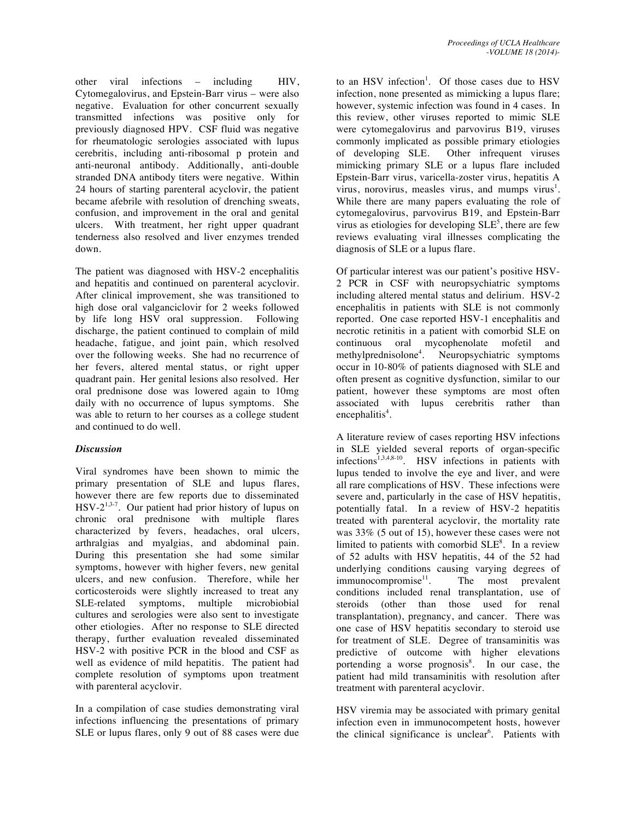other viral infections – including HIV, Cytomegalovirus, and Epstein-Barr virus – were also negative. Evaluation for other concurrent sexually transmitted infections was positive only for previously diagnosed HPV. CSF fluid was negative for rheumatologic serologies associated with lupus cerebritis, including anti-ribosomal p protein and anti-neuronal antibody. Additionally, anti-double stranded DNA antibody titers were negative. Within 24 hours of starting parenteral acyclovir, the patient became afebrile with resolution of drenching sweats, confusion, and improvement in the oral and genital ulcers. With treatment, her right upper quadrant tenderness also resolved and liver enzymes trended down.

The patient was diagnosed with HSV-2 encephalitis and hepatitis and continued on parenteral acyclovir. After clinical improvement, she was transitioned to high dose oral valganciclovir for 2 weeks followed by life long HSV oral suppression. Following discharge, the patient continued to complain of mild headache, fatigue, and joint pain, which resolved over the following weeks. She had no recurrence of her fevers, altered mental status, or right upper quadrant pain. Her genital lesions also resolved. Her oral prednisone dose was lowered again to 10mg daily with no occurrence of lupus symptoms. She was able to return to her courses as a college student and continued to do well.

## *Discussion*

Viral syndromes have been shown to mimic the primary presentation of SLE and lupus flares, however there are few reports due to disseminated  $HSV-2^{1,3-7}$ . Our patient had prior history of lupus on chronic oral prednisone with multiple flares characterized by fevers, headaches, oral ulcers, arthralgias and myalgias, and abdominal pain. During this presentation she had some similar symptoms, however with higher fevers, new genital ulcers, and new confusion. Therefore, while her corticosteroids were slightly increased to treat any SLE-related symptoms, multiple microbiobial cultures and serologies were also sent to investigate other etiologies. After no response to SLE directed therapy, further evaluation revealed disseminated HSV-2 with positive PCR in the blood and CSF as well as evidence of mild hepatitis. The patient had complete resolution of symptoms upon treatment with parenteral acyclovir.

In a compilation of case studies demonstrating viral infections influencing the presentations of primary SLE or lupus flares, only 9 out of 88 cases were due

to an HSV infection<sup>1</sup>. Of those cases due to HSV infection, none presented as mimicking a lupus flare; however, systemic infection was found in 4 cases. In this review, other viruses reported to mimic SLE were cytomegalovirus and parvovirus B19, viruses commonly implicated as possible primary etiologies of developing SLE. Other infrequent viruses mimicking primary SLE or a lupus flare included Epstein-Barr virus, varicella-zoster virus, hepatitis A virus, norovirus, measles virus, and mumps virus<sup>1</sup>. While there are many papers evaluating the role of cytomegalovirus, parvovirus B19, and Epstein-Barr virus as etiologies for developing  $SLE<sup>5</sup>$ , there are few reviews evaluating viral illnesses complicating the diagnosis of SLE or a lupus flare.

Of particular interest was our patient's positive HSV-2 PCR in CSF with neuropsychiatric symptoms including altered mental status and delirium. HSV-2 encephalitis in patients with SLE is not commonly reported. One case reported HSV-1 encephalitis and necrotic retinitis in a patient with comorbid SLE on continuous oral mycophenolate mofetil and methylprednisolone<sup>4</sup>. Neuropsychiatric symptoms occur in 10-80% of patients diagnosed with SLE and often present as cognitive dysfunction, similar to our patient, however these symptoms are most often associated with lupus cerebritis rather than encephalitis<sup>4</sup>.

A literature review of cases reporting HSV infections in SLE yielded several reports of organ-specific infections<sup>1,3,4,8-10</sup>. HSV infections in patients with lupus tended to involve the eye and liver, and were all rare complications of HSV. These infections were severe and, particularly in the case of HSV hepatitis, potentially fatal. In a review of HSV-2 hepatitis treated with parenteral acyclovir, the mortality rate was 33% (5 out of 15), however these cases were not limited to patients with comorbid  $SLE<sup>8</sup>$ . In a review of 52 adults with HSV hepatitis, 44 of the 52 had underlying conditions causing varying degrees of  $immunocompromise<sup>11</sup>$ . The most prevalent conditions included renal transplantation, use of steroids (other than those used for renal transplantation), pregnancy, and cancer. There was one case of HSV hepatitis secondary to steroid use for treatment of SLE. Degree of transaminitis was predictive of outcome with higher elevations portending a worse prognosis<sup>8</sup>. In our case, the patient had mild transaminitis with resolution after treatment with parenteral acyclovir.

HSV viremia may be associated with primary genital infection even in immunocompetent hosts, however the clinical significance is unclear<sup>6</sup>. Patients with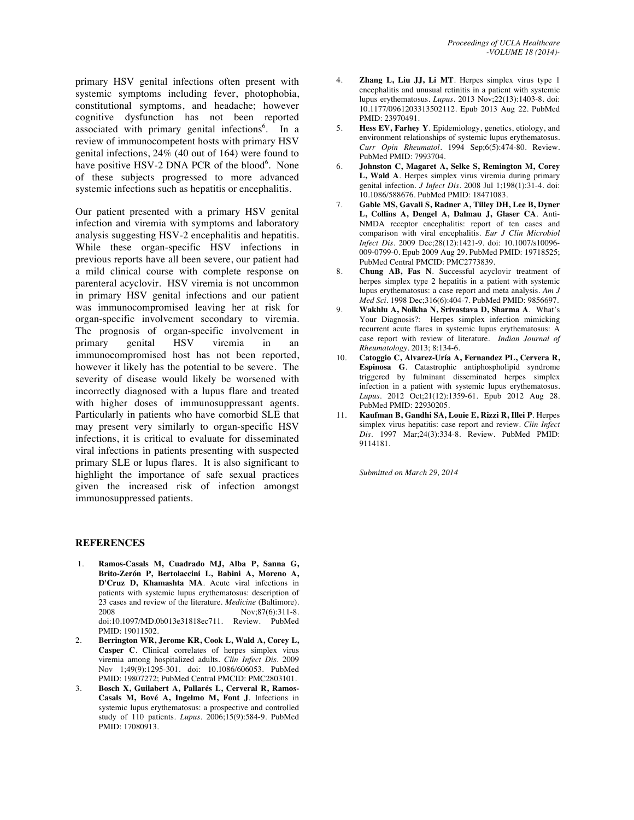primary HSV genital infections often present with systemic symptoms including fever, photophobia, constitutional symptoms, and headache; however cognitive dysfunction has not been reported associated with primary genital infections<sup>6</sup>. In a review of immunocompetent hosts with primary HSV genital infections, 24% (40 out of 164) were found to have positive HSV-2 DNA PCR of the blood<sup>6</sup>. None of these subjects progressed to more advanced systemic infections such as hepatitis or encephalitis.

Our patient presented with a primary HSV genital infection and viremia with symptoms and laboratory analysis suggesting HSV-2 encephalitis and hepatitis. While these organ-specific HSV infections in previous reports have all been severe, our patient had a mild clinical course with complete response on parenteral acyclovir. HSV viremia is not uncommon in primary HSV genital infections and our patient was immunocompromised leaving her at risk for organ-specific involvement secondary to viremia. The prognosis of organ-specific involvement in primary genital HSV viremia in an immunocompromised host has not been reported, however it likely has the potential to be severe. The severity of disease would likely be worsened with incorrectly diagnosed with a lupus flare and treated with higher doses of immunosuppressant agents. Particularly in patients who have comorbid SLE that may present very similarly to organ-specific HSV infections, it is critical to evaluate for disseminated viral infections in patients presenting with suspected primary SLE or lupus flares. It is also significant to highlight the importance of safe sexual practices given the increased risk of infection amongst immunosuppressed patients.

#### **REFERENCES**

- 1. **Ramos-Casals M, Cuadrado MJ, Alba P, Sanna G, Brito-Zerón P, Bertolaccini L, Babini A, Moreno A, D'Cruz D, Khamashta MA**. Acute viral infections in patients with systemic lupus erythematosus: description of 23 cases and review of the literature. *Medicine* (Baltimore). 2008 Nov;87(6):311-8. doi:10.1097/MD.0b013e31818ec711. Review. PubMed PMID: 19011502.
- 2. **Berrington WR, Jerome KR, Cook L, Wald A, Corey L, Casper C**. Clinical correlates of herpes simplex virus viremia among hospitalized adults. *Clin Infect Dis*. 2009 Nov 1;49(9):1295-301. doi: 10.1086/606053. PubMed PMID: 19807272; PubMed Central PMCID: PMC2803101.
- 3. **Bosch X, Guilabert A, Pallarés L, Cerveral R, Ramos-Casals M, Bové A, Ingelmo M, Font J**. Infections in systemic lupus erythematosus: a prospective and controlled study of 110 patients. *Lupus*. 2006;15(9):584-9. PubMed PMID: 17080913.
- 4. **Zhang L, Liu JJ, Li MT**. Herpes simplex virus type 1 encephalitis and unusual retinitis in a patient with systemic lupus erythematosus. *Lupus*. 2013 Nov;22(13):1403-8. doi: 10.1177/0961203313502112. Epub 2013 Aug 22. PubMed PMID: 23970491.
- 5. **Hess EV, Farhey Y**. Epidemiology, genetics, etiology, and environment relationships of systemic lupus erythematosus. *Curr Opin Rheumatol*. 1994 Sep;6(5):474-80. Review. PubMed PMID: 7993704.
- 6. **Johnston C, Magaret A, Selke S, Remington M, Corey L, Wald A**. Herpes simplex virus viremia during primary genital infection. *J Infect Dis*. 2008 Jul 1;198(1):31-4. doi: 10.1086/588676. PubMed PMID: 18471083.
- 7. **Gable MS, Gavali S, Radner A, Tilley DH, Lee B, Dyner L, Collins A, Dengel A, Dalmau J, Glaser CA**. Anti-NMDA receptor encephalitis: report of ten cases and comparison with viral encephalitis. *Eur J Clin Microbiol Infect Dis*. 2009 Dec;28(12):1421-9. doi: 10.1007/s10096- 009-0799-0. Epub 2009 Aug 29. PubMed PMID: 19718525; PubMed Central PMCID: PMC2773839.
- 8. **Chung AB, Fas N**. Successful acyclovir treatment of herpes simplex type 2 hepatitis in a patient with systemic lupus erythematosus: a case report and meta analysis. *Am J Med Sci*. 1998 Dec;316(6):404-7. PubMed PMID: 9856697.
- 9. **Wakhlu A, Nolkha N, Srivastava D, Sharma A**. What's Your Diagnosis?: Herpes simplex infection mimicking recurrent acute flares in systemic lupus erythematosus: A case report with review of literature. *Indian Journal of Rheumatology*. 2013; 8:134-6.
- 10. **Catoggio C, Alvarez-Uría A, Fernandez PL, Cervera R, Espinosa G**. Catastrophic antiphospholipid syndrome triggered by fulminant disseminated herpes simplex infection in a patient with systemic lupus erythematosus. *Lupus*. 2012 Oct;21(12):1359-61. Epub 2012 Aug 28. PubMed PMID: 22930205.
- 11. **Kaufman B, Gandhi SA, Louie E, Rizzi R, Illei P**. Herpes simplex virus hepatitis: case report and review. *Clin Infect Dis*. 1997 Mar;24(3):334-8. Review. PubMed PMID: 9114181.

*Submitted on March 29, 2014*